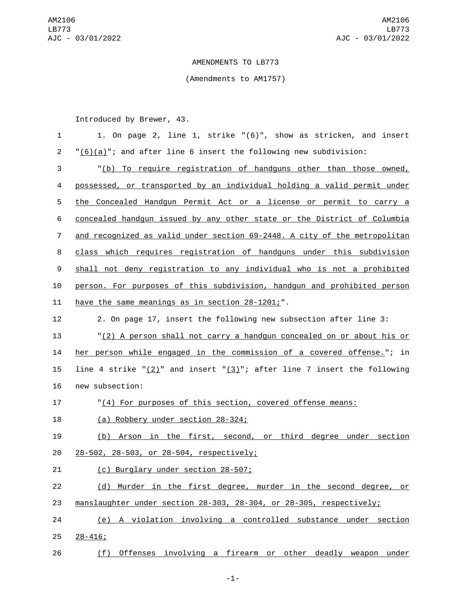## AMENDMENTS TO LB773

## (Amendments to AM1757)

Introduced by Brewer, 43.

| $\mathbf{1}$   | 1. On page 2, line 1, strike "(6)", show as stricken, and insert                |
|----------------|---------------------------------------------------------------------------------|
| $\overline{2}$ | $\frac{1}{6}()$ (a)"; and after line 6 insert the following new subdivision:    |
| 3              | "(b) To require registration of handguns other than those owned,                |
| 4              | possessed, or transported by an individual holding a valid permit under         |
| 5              | the Concealed Handgun Permit Act or a license or permit to carry a              |
| 6              | concealed handgun issued by any other state or the District of Columbia         |
| $\overline{7}$ | and recognized as valid under section 69-2448. A city of the metropolitan       |
| 8              | class which requires registration of handguns under this subdivision            |
| 9              | shall not deny registration to any individual who is not a prohibited           |
| 10             | person. For purposes of this subdivision, handgun and prohibited person         |
| 11             | have the same meanings as in section 28-1201;".                                 |
| 12             | 2. On page 17, insert the following new subsection after line 3:                |
| 13             | "(2) A person shall not carry a handgun concealed on or about his or            |
| 14             | her person while engaged in the commission of a covered offense."; in           |
| 15             | line 4 strike " $(2)$ " and insert " $(3)$ "; after line 7 insert the following |
| 16             | new subsection:                                                                 |
| 17             | "(4) For purposes of this section, covered offense means:                       |
| 18             | (a) Robbery under section 28-324;                                               |
| 19             | (b) Arson in the first, second, or third degree under section                   |
| 20             | 28-502, 28-503, or 28-504, respectively;                                        |
| 21             | (c) Burglary under section 28-507;                                              |
| 22             | (d) Murder in the first degree, murder in the second degree, or                 |
| 23             | manslaughter under section 28-303, 28-304, or 28-305, respectively;             |
| 24             | (e) A violation involving a controlled substance under section                  |
| 25             | $28 - 416$ ;                                                                    |

26 (f) Offenses involving a firearm or other deadly weapon under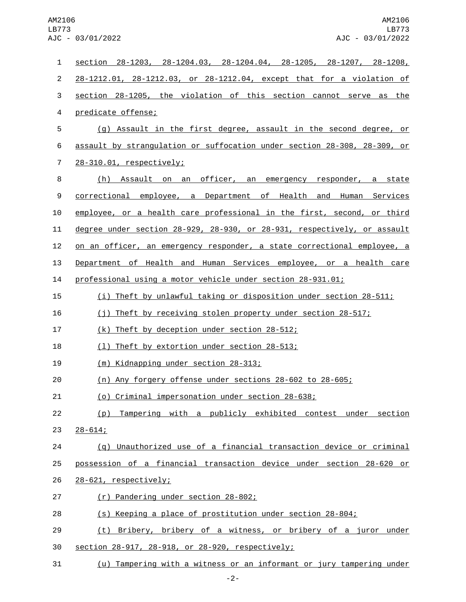| 1                | section 28-1203, 28-1204.03, 28-1204.04, 28-1205, 28-1207, 28-1208,      |
|------------------|--------------------------------------------------------------------------|
| $\overline{c}$   | 28-1212.01, 28-1212.03, or 28-1212.04, except that for a violation of    |
| 3                | section 28-1205, the violation of this section cannot serve as the       |
| 4                | predicate offense;                                                       |
| 5                | (g) Assault in the first degree, assault in the second degree, or        |
| 6                | assault by strangulation or suffocation under section 28-308, 28-309, or |
| $\overline{7}$   | 28-310.01, respectively;                                                 |
| 8                | (h) Assault on an officer, an emergency responder, a state               |
| $\boldsymbol{9}$ | correctional employee, a Department of Health and Human Services         |
| 10               | employee, or a health care professional in the first, second, or third   |
| 11               | degree under section 28-929, 28-930, or 28-931, respectively, or assault |
| 12               | on an officer, an emergency responder, a state correctional employee, a  |
| 13               | Department of Health and Human Services employee, or a health care       |
| 14               | professional using a motor vehicle under section 28-931.01;              |
| 15               | (i) Theft by unlawful taking or disposition under section 28-511;        |
| 16               | (j) Theft by receiving stolen property under section 28-517;             |
| 17               | (k) Theft by deception under section 28-512;                             |
| 18               | (1) Theft by extortion under section 28-513;                             |
| 19               | (m) Kidnapping under section 28-313;                                     |
| 20               | (n) Any forgery offense under sections 28-602 to 28-605;                 |
| 21               | (o) Criminal impersonation under section 28-638;                         |
| 22               | (p) Tampering with a publicly exhibited contest under section            |
| 23               | $28 - 614$ ;                                                             |
| 24               | (q) Unauthorized use of a financial transaction device or criminal       |
| 25               | possession of a financial transaction device under section 28-620 or     |
| 26               | 28-621, respectively;                                                    |
| 27               | (r) Pandering under section 28-802;                                      |
| 28               | (s) Keeping a place of prostitution under section 28-804;                |
| 29               | (t) Bribery, bribery of a witness, or bribery of a juror under           |
| 30               | section 28-917, 28-918, or 28-920, respectively;                         |
| 31               | (u) Tampering with a witness or an informant or jury tampering under     |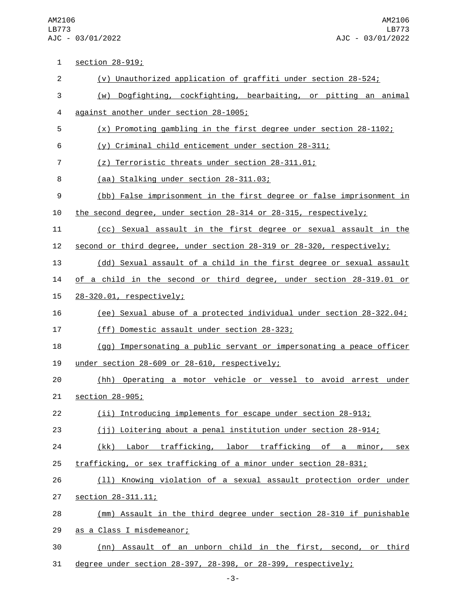AM2106 LB773 AJC - 03/01/2022

1 section 28-919; (v) Unauthorized application of graffiti under section 28-524; (w) Dogfighting, cockfighting, bearbaiting, or pitting an animal 4 against another under section 28-1005; (x) Promoting gambling in the first degree under section 28-1102; (y) Criminal child enticement under section 28-311; (z) Terroristic threats under section 28-311.01; 8 (aa) Stalking under section 28-311.03; (bb) False imprisonment in the first degree or false imprisonment in the second degree, under section 28-314 or 28-315, respectively; (cc) Sexual assault in the first degree or sexual assault in the second or third degree, under section 28-319 or 28-320, respectively; (dd) Sexual assault of a child in the first degree or sexual assault of a child in the second or third degree, under section 28-319.01 or 28-320.01, respectively;15 (ee) Sexual abuse of a protected individual under section 28-322.04; 17 (ff) Domestic assault under section 28-323; (gg) Impersonating a public servant or impersonating a peace officer 19 under section  $28-609$  or  $28-610$ , respectively; (hh) Operating a motor vehicle or vessel to avoid arrest under 21 section 28-905; (ii) Introducing implements for escape under section 28-913; (jj) Loitering about a penal institution under section 28-914; 24 (kk) Labor trafficking, labor trafficking of a minor, sex trafficking, or sex trafficking of a minor under section 28-831; (ll) Knowing violation of a sexual assault protection order under **section 28-311.11;**  (mm) Assault in the third degree under section 28-310 if punishable 29 as a Class I misdemeanor; (nn) Assault of an unborn child in the first, second, or third degree under section 28-397, 28-398, or 28-399, respectively;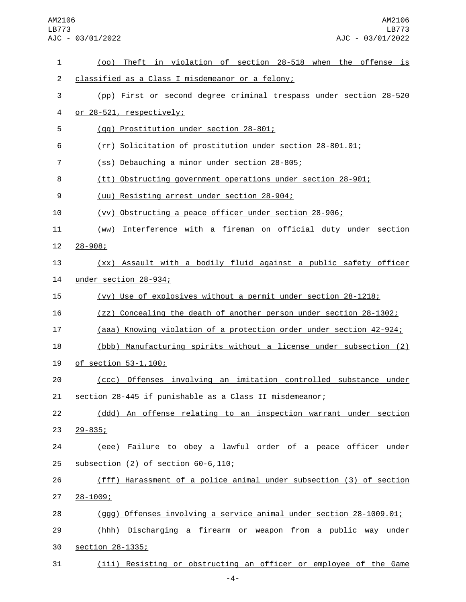## AM2106 LB773 AJC - 03/01/2022

| 1              | (oo) Theft in violation of section 28-518 when the offense is       |
|----------------|---------------------------------------------------------------------|
| $\overline{2}$ | classified as a Class I misdemeanor or a felony;                    |
| 3              | (pp) First or second degree criminal trespass under section 28-520  |
| 4              | or 28-521, respectively;                                            |
| 5              | (gg) Prostitution under section 28-801;                             |
| 6              | (rr) Solicitation of prostitution under section 28-801.01;          |
| $\overline{7}$ | (ss) Debauching a minor under section 28-805;                       |
| 8              | (tt) Obstructing government operations under section 28-901;        |
| 9              | (uu) Resisting arrest under section 28-904;                         |
| 10             | (vv) Obstructing a peace officer under section 28-906;              |
| 11             | Interference with a fireman on official duty under section<br>(WW)  |
| 12             | $28 - 908$ ;                                                        |
| 13             | (xx) Assault with a bodily fluid against a public safety officer    |
| 14             | under section 28-934;                                               |
| 15             | (yy) Use of explosives without a permit under section 28-1218;      |
| 16             | (zz) Concealing the death of another person under section 28-1302;  |
| 17             | (aaa) Knowing violation of a protection order under section 42-924; |
| 18             | (bbb) Manufacturing spirits without a license under subsection (2)  |
| 19             | <u>of section 53-1,100;</u>                                         |
| 20             | Offenses involving an imitation controlled substance under<br>(ccc) |
| 21             | section 28-445 if punishable as a Class II misdemeanor;             |
| 22             | (ddd) An offense relating to an inspection warrant under section    |
| 23             | $29 - 835$ ;                                                        |
| 24             | (eee) Failure to obey a lawful order of a peace officer under       |
| 25             | subsection $(2)$ of section $60-6,110$ ;                            |
| 26             | (fff) Harassment of a police animal under subsection (3) of section |
| 27             | $28 - 1009$ ;                                                       |
| 28             | (ggg) Offenses involving a service animal under section 28-1009.01; |
| 29             | (hhh) Discharging a firearm or weapon from a public way under       |
| 30             | section 28-1335;                                                    |
| 31             | (iii) Resisting or obstructing an officer or employee of the Game   |

-4-